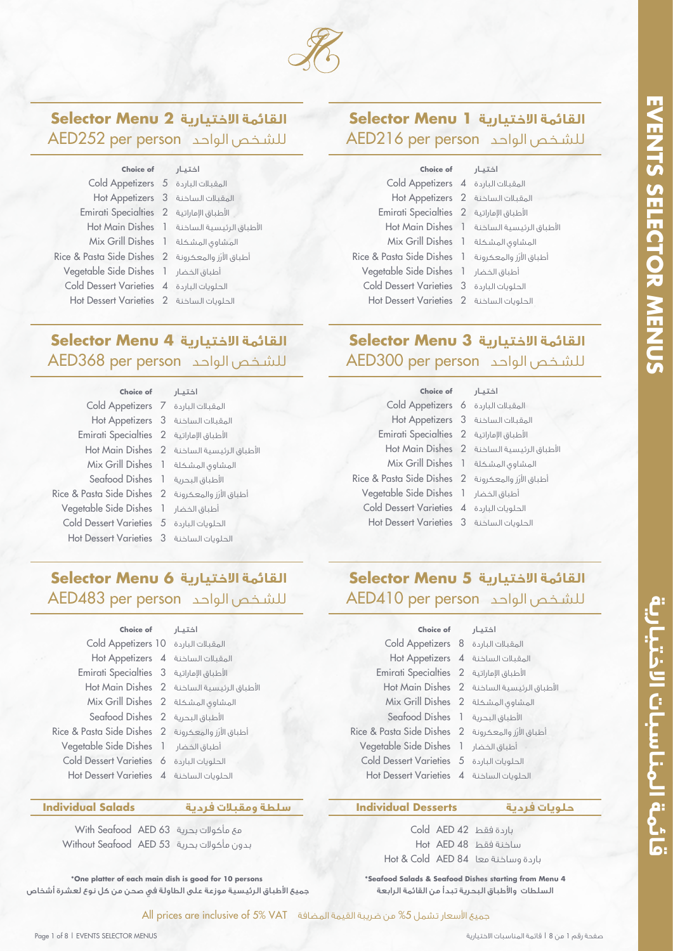

# **القائمة الاختيارية 2 Menu Selector** AED252 per person الواحد للشـخص

5 Cold Appetizers المقبلات الباردة 3 Hot Appetizers المقبلات الساخنة الأطباق الإماراتية Emirati Specialties 2 الأطباق الرئيسية الساخنة Hot Main Dishes 1 1 Mix Grill Dishes المشاوي المشكلة أطباق الأرز والمعكرونة Rice & Pasta Side Dishes 2 1 Vegetable Side Dishes أطباق الخضار 4 Cold Dessert Varieties الحلويات الباردة 2 Hot Dessert Varieties الحلويات الساخنة **Choice of** اختيـار

# **القائمة الاختيارية 4 Menu Selector** AED368 per person الواحد للشـخص

 Cold Appetizers المقبلات الباردة الأطباق الإماراتية Emirati Specialties 2 Seafood Dishes ا-طباق البحرية أطباق الأرز والمعكرونة Rice & Pasta Side Dishes 2 Vegetable Side Dishes أطباق الخضار Cold Dessert Varieties الحلويات الباردة Hot Dessert Varieties الحلويات الساخنة **Choice of**

3 Hot Appetizers المقبلات الساخنة الأطباق الرئيسية الساخنة Hot Main Dishes 2 1 Mix Grill Dishes المشاوي المشكلة اختيـار

## **القائمة الاختيارية 1 Menu Selector** AED216 per person الواحد للشـخص

| Choice of                                           | اختىار                                     |
|-----------------------------------------------------|--------------------------------------------|
| المقبلات الباردة Cold Appetizers 4                  |                                            |
| المقبلات الساخنة Hot Appetizers 2                   |                                            |
| Emirati Specialties 2 الأطباق الإماراتية 2          |                                            |
|                                                     | الأطباق الرئيسية الساخنة Hot Main Dishes 1 |
| Mix Grill Dishes 1 المشاوى المشكلة                  |                                            |
| Rice & Pasta Side Dishes 1 أطباق الأرز والمعكرونة 1 |                                            |
| Vegetable Side Dishes 1                             | أطباق الخضار                               |
| <b>Cold Dessert Varieties 3</b>                     | الحلويات الباردة                           |
| الحلوبات الساخنة Hot Dessert Varieties 2            |                                            |
|                                                     |                                            |

# **القائمة الاختيارية 3 Menu Selector** AED300 per person الواحد للشـخص

| Choice of اختيار                                           |                                            |
|------------------------------------------------------------|--------------------------------------------|
| Cold Appetizers 6 المقبلات الباردة 6                       |                                            |
| Hot Appetizers 3 المقبلات الساخنة 5                        |                                            |
| Emirati Specialties 2 الأطباق الإماراتية 2                 |                                            |
|                                                            | الأطباق الرئيسية الساخنة Hot Main Dishes 2 |
| Mix Grill Dishes 1 المشكلة اليسمية                         |                                            |
| Rice & Pasta Side Dishes 2 أطباق الأزز والمعكرونة 2        |                                            |
| Vegetable Side Dishes 1 أطباق الخضار Vegetable Side Dishes |                                            |
| Cold Dessert Varieties 4 الحلويات الباردة 4                |                                            |
| Hot Dessert Varieties 3 الحلويات الساخنة 1                 |                                            |

# **القائمة الاختيارية 6 Menu Selector** AED483 per person الواحد للشـخص

| Choice of                                                  | اختيار                                     |
|------------------------------------------------------------|--------------------------------------------|
| المقبلات الباردة Cold Appetizers 10                        |                                            |
| Hot Appetizers 4 المقبلات الساخنة                          |                                            |
| الأطباق الإماراتية [5 Emirati Specialties                  |                                            |
|                                                            | الأطباق الرئيسية الساخنة Hot Main Dishes 2 |
| Mix Grill Dishes 2 المشكلة Mix Grill Dishes                |                                            |
| Seafood Dishes 2 الأطباق البحرية 2                         |                                            |
| أطباق الأرز والمعكرونة      Rice & Pasta Side Dishes    2  |                                            |
| Vegetable Side Dishes 1 أطباق الخضار Vegetable Side Dishes |                                            |
| الحلويات الباردة Cold Dessert Varieties 6                  |                                            |
| الحلوبات الساخنة Hot Dessert Varieties 4                   |                                            |

## **سلطة ومقبلات فردية Salads Individual**

AED 63 With Seafood مع مأكولات بحرية AED 53 Without Seafood بدون مأكولات بحرية

**\*One platter of each main dish is good for 10 persons** جميع اطباق الرئيسية موزعة على الطاولة في صحن من كل نوع لعشرة أشخاص

# **القائمة الاختيارية 5 Menu Selector** AED410 per person الواحد للشـخص

| Choice of اختيار                                           |                                                              |
|------------------------------------------------------------|--------------------------------------------------------------|
| Cold Appetizers 8 المقبلات الباردة 8                       |                                                              |
| Hot Appetizers 4 المقبلات الساخنة                          |                                                              |
| Emirati Specialties 2 الأطباق الإماراتية 2                 |                                                              |
|                                                            | Hot Main Dishes 2 الأطباق الرئيسية الساخنة Hot Main Dishes 2 |
| Mix Grill Dishes 2 المشكلة 1                               |                                                              |
| Seafood Dishes 1 الأطباق البحرية 1                         |                                                              |
| Rice & Pasta Side Dishes 2 أطباق الأرز والمعكرونة 2        |                                                              |
| Vegetable Side Dishes 1 أطباق الخضار Vegetable Side Dishes |                                                              |
| Cold Dessert Varieties 5 الحلويات الباردة 5                |                                                              |
| Hot Dessert Varieties 4 الحلويات الساخنة 4                 |                                                              |

## **حلويات فردية Desserts Individual**

|  | باردة فقط Cold AED 42                  |
|--|----------------------------------------|
|  | ساخنة فقط Hot AED 48                   |
|  | باردة وساخنة معا   Hot & Cold   AED 84 |

**\*Seafood Salads & Seafood Dishes starting from Menu 4** السلطات واطباق البحرية تبدأ من القائمة الرابعة

قائهة المناسبات الاختيارية

جميعَ الأسعار تشمل 5% من ضريبة القيمة المضافة All prices are inclusive of 5% VAT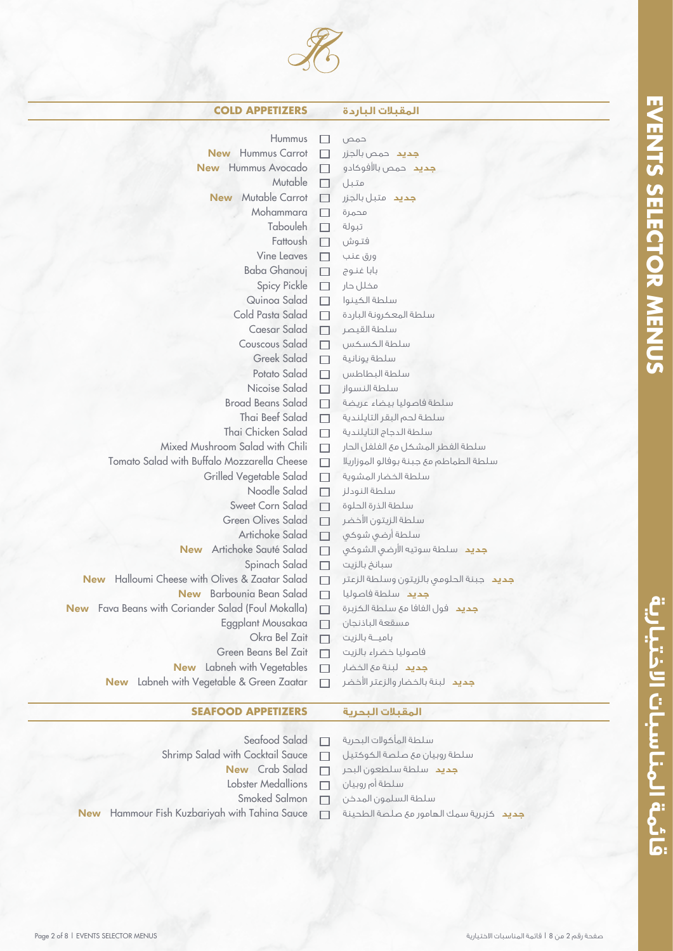

| <b>COLD APPETIZERS</b>                                   |                          | المقبلات الباردة                        |
|----------------------------------------------------------|--------------------------|-----------------------------------------|
| <b>Hummus</b>                                            | - 1                      | حمص                                     |
| <b>New</b> Hummus Carrot                                 | $\mathcal{L}$            | <b>جديد</b> حمص بالجزر                  |
| <b>New</b> Hummus Avocado                                | $\overline{\phantom{a}}$ | <b>جديد</b> حمص بالأفوكادو              |
| Mutable                                                  | $\Box$                   | متبل                                    |
| <b>New</b> Mutable Carrot                                | H                        | <b>جديد</b> متبل بالجزر                 |
| Mohammara                                                | $\Box$                   | محمرة                                   |
| Tabouleh                                                 | H                        | تبولة                                   |
| Fattoush                                                 | <b>Tale</b>              | فتوش                                    |
| <b>Vine Leaves</b>                                       | П                        | ورق عنب                                 |
| Baba Ghanouj                                             | $\Box$                   | بابا غنوج                               |
| Spicy Pickle                                             | $\Box$                   | مخلل حار                                |
| Quinoa Salad                                             | п                        | سلطة الكينوا                            |
| Cold Pasta Salad                                         | $\Box$                   | سلطة المعكرونة الباردة                  |
| Caesar Salad                                             | $\Box$                   | سلطة القيصر                             |
| Couscous Salad                                           | $\Box$                   | سلطة الكسكس                             |
| <b>Greek Salad</b>                                       | П                        | سلطة يونانية                            |
| Potato Salad                                             | П                        | سلطة البطاطس                            |
| Nicoise Salad                                            | П                        | سلطة النسواز                            |
| <b>Broad Beans Salad</b>                                 | П                        | سلطة فاصوليا بيضاء عريضة                |
| Thai Beef Salad                                          | П                        | سلطة لحم البقر التايلندية               |
| Thai Chicken Salad                                       | П                        | سلطة الدجاج التايلندية                  |
| Mixed Mushroom Salad with Chili                          | □                        | سلطة الفطر المشكل مع الفلفل الحار       |
| Tomato Salad with Buffalo Mozzarella Cheese              | П                        | سلطة الطماطم مئ جبنة بوفالو الموزاريلا  |
| Grilled Vegetable Salad                                  | $\Box$                   | سلطة الخضار المشوية                     |
| Noodle Salad                                             | $\Box$                   | سلطة النودلز                            |
| Sweet Corn Salad                                         | П                        | سلطة الذرة الحلوة                       |
| <b>Green Olives Salad</b>                                | П                        | سلطة الزيتون الأخضر                     |
| Artichoke Salad                                          | $\Box$                   | سلطة أرضى شوكى                          |
| Artichoke Sauté Salad<br><b>New</b>                      | $\Box$                   | <b>جديد</b> سلطة سوتيه الأرضى الشوكى    |
| Spinach Salad                                            | $\Box$                   | سبانخ بالزيت                            |
| Halloumi Cheese with Olives & Zaatar Salad<br><b>New</b> | П                        | جديد حبنة الحلومي بالزيتون وسلطة الزعتر |
| New Barbounia Bean Salad                                 | П                        | جديد سلطة فاصوليا                       |
| New Fava Beans with Coriander Salad (Foul Mokalla)       |                          | جديد فول الفافا مع سلطة الكزبرة         |
| Eggplant Mousakaa                                        | $\overline{\phantom{a}}$ | مسقعة الباذنجان                         |
| Okra Bel Zait                                            | ┑                        | بامية بالزيت                            |
| Green Beans Bel Zait                                     | П                        | فاصوليا خضراء بالزيت                    |
| <b>New</b> Labneh with Vegetables                        | П                        | جديد لبنة مع الخضار                     |
| <b>New</b> Labneh with Vegetable & Green Zaatar          |                          | <b>جديد</b> لبنة بالخضار والزعتر الأخضر |
|                                                          |                          |                                         |
|                                                          |                          |                                         |

## **المقبلات البحرية APPETIZERS SEAFOOD**

- Seafood Salad  $\Box$
- Shrimp Salad with Cocktail Sauce  $\Box$ 
	- New Crab Salad  $\Box$
	- Lobster Medallions  $\Box$
	- Smoked Salmon  $\Box$
- New Hammour Fish Kuzbariyah with Tahina Sauce  $\Box$
- سلطة المأكولات البحرية سلطة روبيان مع صلصة الكوكتيل **جديد** سلطة سلطعون البحر سلطة أم روبيان سلطة السلمون المدخن **جديد** كزبرية سمك الهامور مع صلصة الطحينة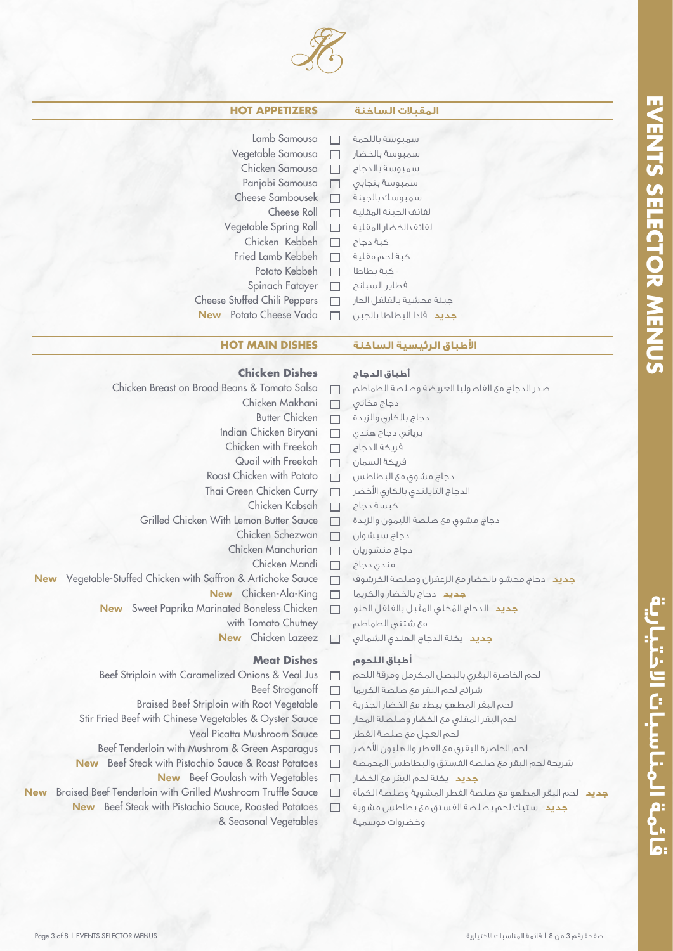قائمة المناسبات الاختيارية



## **المقبلات الساخنة APPETIZERS HOT**

|  | مقىلات الساخنة |
|--|----------------|
|  |                |

| Lamb Samousa                 |        | سمبوسة باللحمة           |
|------------------------------|--------|--------------------------|
| Vegetable Samousa            |        | سمبوسة بالخضار           |
| Chicken Samousa              |        | سمبوسة بالدجاج           |
| Panjabi Samousa              | $\Box$ | سمبوسة بنجابى            |
| Cheese Sambousek             |        | سمبوسك بالجبنة           |
| Cheese Roll                  |        | لفائف الجبنة المقلية     |
| Vegetable Spring Roll        | H      | لفائف الخضار المقلية     |
| Chicken Kebbeh               | П      | كبة دجاج                 |
| Fried Lamb Kebbeh            |        | كبة لحم مقلية            |
| Potato Kebbeh                |        | كبة بطاطا                |
| Spinach Fatayer              | $\Box$ | فطاير السبانخ            |
| Cheese Stuffed Chili Peppers |        | جبنة محشية بالفلفل الحار |
| New Potato Cheese Vada       |        | جديد فادا البطاطا بالجبن |

## **اطباق الرئيسية الساخنة DISHES MAIN HOT**

| <b>Chicken Dishes</b>                                           |        | أطباق الدجاج                                                    |  |
|-----------------------------------------------------------------|--------|-----------------------------------------------------------------|--|
| Chicken Breast on Broad Beans & Tomato Salsa                    | П      | صدر الدجاج مع الفاصوليا العريضة وصلصة الطماطم                   |  |
| Chicken Makhani                                                 | $\Box$ | دجاج مخانی                                                      |  |
| <b>Butter Chicken</b>                                           | $\Box$ | دجاج بالكارى والزبدة                                            |  |
| Indian Chicken Biryani                                          |        | برياني دجاج هندي                                                |  |
| Chicken with Freekah                                            | $\Box$ | فريكة الدجاج                                                    |  |
| Quail with Freekah                                              | $\Box$ | فريكة السمان                                                    |  |
| Roast Chicken with Potato                                       | $\Box$ | دجاج مشوق مع البطاطس                                            |  |
| Thai Green Chicken Curry                                        | П      | الدجاج التايلندى بالكارى الأخضر                                 |  |
| Chicken Kabsah                                                  | $\Box$ | كبسة دجاج                                                       |  |
| Grilled Chicken With Lemon Butter Sauce                         | $\Box$ | دجاج مشوى مع صلصة الليمون والزبدة                               |  |
| Chicken Schezwan                                                | $\Box$ | دجاج سيشوان                                                     |  |
| Chicken Manchurian                                              | $\Box$ | دجاج منشوريان                                                   |  |
| Chicken Mandi                                                   | $\Box$ | مندی دجاج                                                       |  |
| New Vegetable-Stuffed Chicken with Saffron & Artichoke Sauce    | П      | جديد دجاج محشو بالخضار مع الزعفران وصلصة الخرشوف                |  |
| New Chicken-Ala-King                                            | $\Box$ | جديد دجاج بالخضار والكريما                                      |  |
| New Sweet Paprika Marinated Boneless Chicken                    | П      | <b>جديد</b> الدجاج المُخلى المتَبل بالفلفل الحلو                |  |
| with Tomato Chutney                                             |        | مئ شتنبي الطماطم                                                |  |
| Chicken Lazeez<br><b>New</b>                                    | П      | جديد يخنة الدجاج الهندى الشمالى                                 |  |
| <b>Meat Dishes</b>                                              |        | أطباق اللحوم                                                    |  |
| Beef Striploin with Caramelized Onions & Veal Jus               | □      | لحم الخاصرة البقرق بالبصل المكرمل ومرقة اللحم                   |  |
| <b>Beef Stroganoff</b>                                          | $\Box$ | شرائح لحم البقر مع صلصة الكريما                                 |  |
| Braised Beef Striploin with Root Vegetable                      |        | لحم البقر المطهو ببطء مع الخضار الجذرية                         |  |
| Stir Fried Beef with Chinese Vegetables & Oyster Sauce          | $\Box$ | لحم البقر المقلى مع الخضار وصلصلة المحار                        |  |
| Veal Picatta Mushroom Sauce                                     | $\Box$ | لحم العجل مع صلصة الفطر                                         |  |
| Beef Tenderloin with Mushrom & Green Asparagus                  | $\Box$ | لحم الخاصرة البقرى مع الفطر والهليون الأخضر                     |  |
| Beef Steak with Pistachio Sauce & Roast Potatoes<br><b>New</b>  | П      | شريحة لحم البقر مع صلصة الفستق والبطاطس المحمصة                 |  |
| New Beef Goulash with Vegetables                                | П      | جديد يخنة لحم البقر مع الخضار                                   |  |
| New Braised Beef Tenderloin with Grilled Mushroom Truffle Sauce |        | <b>جديد</b> لحم البقر المطهو مع صلصة الفطر المشوية وصلصة الكمأة |  |
|                                                                 |        |                                                                 |  |

New Beef Steak with Pistachio Sauce, Roasted Potatoes **جديد** ستيك لحم بصلصة الفستق مع بطاطس مشوية & Seasonal Vegetables

### صفحة رقم 3 من 8 | قائمة المناسبات الاختيارية المناسبات الاختيارية المناسبات الاختيارية المناسبات الاختيارية ال<br>المناسبات الاختيارية

وخضروات موسمية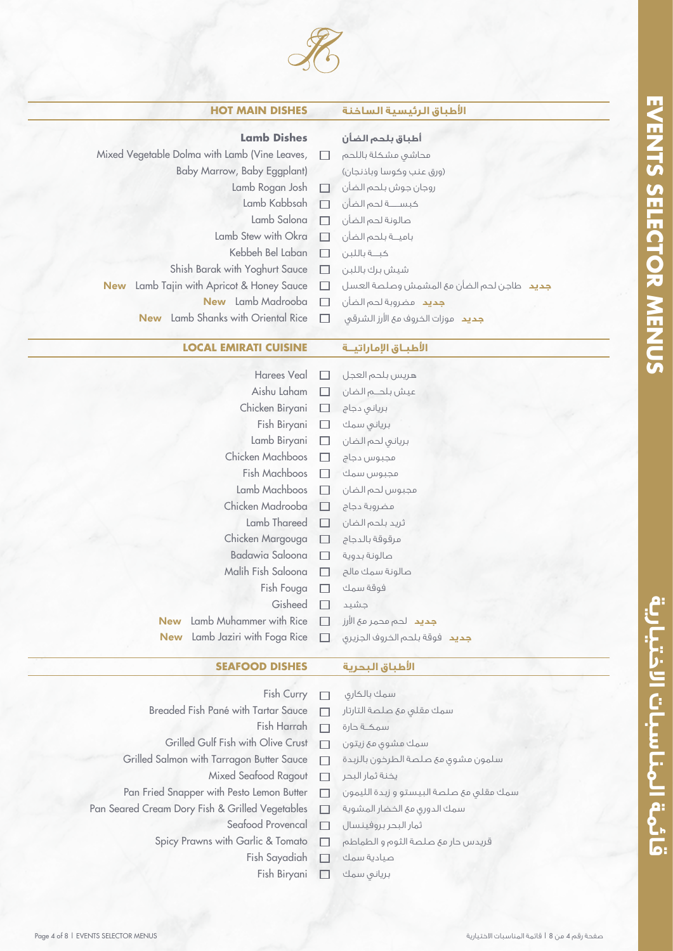

| <b>HOT MAIN DISHES</b>                              |        | الأطباق الرئيسية الساخنة                         |
|-----------------------------------------------------|--------|--------------------------------------------------|
| <b>Lamb Dishes</b>                                  |        | أطباق بلحم الضأن                                 |
| Mixed Vegetable Dolma with Lamb (Vine Leaves,       |        | محاشى مشكلة باللحم                               |
| Baby Marrow, Baby Eggplant)                         |        | (ورق عنب وكوسا وباذنجان)                         |
| Lamb Rogan Josh                                     |        | روجان جوش بلحم الضأن □ □                         |
| Lamb Kabbsah                                        | $\Box$ | كبســــة لحم الضأن                               |
| Lamb Salona                                         | П      | صالونة لحم الضأن                                 |
| Lamb Stew with Okra                                 | П      | باميــة بلحم الضأن                               |
| Kebbeh Bel Laban                                    | □      | كبة باللبن                                       |
| Shish Barak with Yoghurt Sauce                      | $\Box$ | شيش برك باللبن                                   |
| Lamb Tajin with Apricot & Honey Sauce<br><b>New</b> | $\Box$ | <b>جديد</b> طاجن لحم الضأن مع المشمش وصلصة العسل |
| New Lamb Madrooba                                   | $\Box$ | <b>جديد</b> مضروبة لحم الضأن                     |
| Lamb Shanks with Oriental Rice<br><b>New</b>        |        | جديد موزات الخروف مع الأرز الشرقي                |
|                                                     |        |                                                  |
| <b>LOCAL EMIRATI CUISINE</b>                        |        | الأطباق الإماراتيــة                             |
| Harees Veal                                         |        | هريس بلحم العجل                                  |
| Aishu Laham                                         | $\Box$ | عيش بلحــم الضان                                 |
| Chicken Biryani                                     | $\Box$ | بريانى دجاج                                      |
| Fish Biryani                                        | $\Box$ | برياني سمك                                       |
| Lamb Biryani                                        | $\Box$ | بريانى لحم الضان                                 |
| Chicken Machboos                                    |        | مجبوس دجاج                                       |
| $\Box$ . Martin . $\Box$                            |        | $\sim$ $\sim$ $\sim$ $\sim$                      |

|            |                                   |              | برياني لحم الضان       Lamb Bıryanı                           Lamb |
|------------|-----------------------------------|--------------|--------------------------------------------------------------------|
|            | Chicken Machboos                  | $\Box$       | مجبوس دجاج                                                         |
|            | Fish Machboos                     |              | مجبوس سمك                                                          |
|            | Lamb Machboos                     | $\Box$       | مجبوس لحم الضان                                                    |
|            | Chicken Madrooba                  | П            | مضروبة دجاج                                                        |
|            | Lamb Thareed                      | $\Box$       | ثريد بلحم الضان                                                    |
|            | مرقوقة بالدجاج الOhicken Margouga |              |                                                                    |
|            | Badawia Saloona $\Box$            |              | صالونة بدوية                                                       |
|            | Malih Fish Saloona                | П            | صالونة سمك مالح                                                    |
|            | Fish Fouga                        | $\mathbf{L}$ | فوقة سمك                                                           |
|            | Gisheed                           |              | جشيد                                                               |
| <b>New</b> | Lamb Muhammer with Rice           | n.           | <b>جديد</b> لحم محمر مع الأرز                                      |
|            |                                   |              | New Lamb Jaziri with Foga Rice □ وحديد فوقة بلحم الخروف الجزيرى    |

## **اطباق البحرية DISHES SEAFOOD**

سمك مقلي مع صلصة التارتار

سمك الدوري مع الخضار المشوية

قريدس حار مع صلصة الثوم و الطماطم

سلمون مشوي مع صلصة الطرخون بالزبدة

سمك مقلي مع صلصة البيستو و زبدة الليمون

سمك مشوي مع زيتون

ثمار البحر بروفينسال

سمك بالكاري

سمكـــة حارة

يخنة ثمار البحر

صيادية سمك برياني سمك

- Fish Curry  $\Box$
- Breaded Fish Pané with Tartar Sauce  $\Box$ 
	- Fish Harrah  $\Box$
	- Grilled Gulf Fish with Olive Crust  $\Box$
- Grilled Salmon with Tarragon Butter Sauce  $\Box$ 
	- Mixed Seafood Ragout  $\Box$
- Pan Fried Snapper with Pesto Lemon Butter  $\Box$
- Pan Seared Cream Dory Fish & Grilled Vegetables  $\Box$ 
	- Seafood Provencal  $\Box$
	- Spicy Prawns with Garlic & Tomato  $\Box$ 
		- Fish Sayadiah  $\Box$ 
			- Fish Biryani  $\Box$

قائهة الهناسبات الاختيارية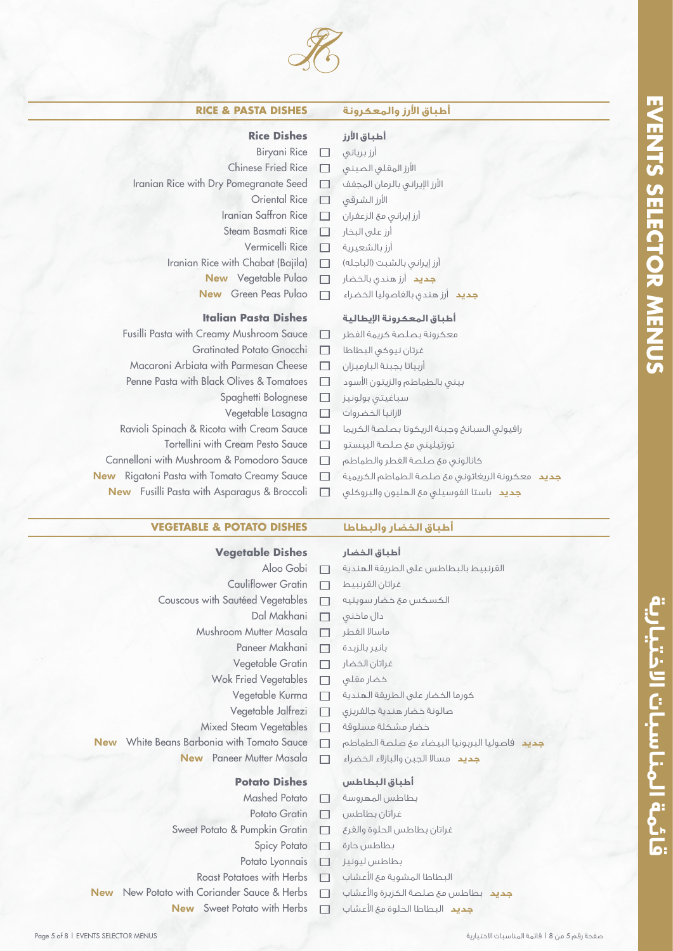

| <b>RICE &amp; PASTA DISHES</b>                        |                          | أطباق الأرز والمعكرونة                           |
|-------------------------------------------------------|--------------------------|--------------------------------------------------|
| <b>Rice Dishes</b>                                    |                          | أطباق الأرز                                      |
| Biryani Rice                                          | $\Box$                   | أرز برياني                                       |
| <b>Chinese Fried Rice</b>                             | П                        | الأرز المقلبى الصينبى                            |
| Iranian Rice with Dry Pomegranate Seed                | П                        | الأرز الإيراني بالرمان المجفف                    |
| <b>Oriental Rice</b>                                  | П                        | الأرز الشرقى                                     |
| Iranian Saffron Rice                                  | П                        | أرز إيرانيي مع الزعفران                          |
| Steam Basmati Rice                                    | П                        | أرز على البخار                                   |
| Vermicelli Rice                                       | П                        | أرز بالشعيرية                                    |
| Iranian Rice with Chabat (Bajila)                     | П                        | أرز إيراني بالشبت (الباجله)                      |
| New Vegetable Pulao                                   | $\Box$                   | <b>جديد</b> أرز هندي بالخضار                     |
| New Green Peas Pulao                                  | П                        | <b>جديد</b> أرز هندى بالفاصوليا الخضراء          |
| <b>Italian Pasta Dishes</b>                           |                          | أطباق المعكرونة الإيطالية                        |
| Fusilli Pasta with Creamy Mushroom Sauce              | $\Box$                   | معكرونة بصلصة كريمة الفطر                        |
| Gratinated Potato Gnocchi                             | П                        | غرتان نيوكى البطاطا                              |
| Macaroni Arbiata with Parmesan Cheese                 | П                        | أربياتا بجبنة البارميزان                         |
| Penne Pasta with Black Olives & Tomatoes              | $\Box$                   | بينبى بالطماطم والزيتون الأسود                   |
| Spaghetti Bolognese                                   | $\Box$                   | سباغيتى بولونيز                                  |
| Vegetable Lasagna                                     | $\Box$                   | لازانيا الخضروات                                 |
| Ravioli Spinach & Ricota with Cream Sauce             | ш                        | رافيولى السبانخ وجبنة الريكوتا بصلصة الكريما     |
| Tortellini with Cream Pesto Sauce                     | □                        | تورتيلينى مع صلصة البيستو                        |
| Cannelloni with Mushroom & Pomodoro Sauce             | <b>I</b>                 | كانالونى مئ صلصة الفطر والطماطم                  |
| Rigatoni Pasta with Tomato Creamy Sauce<br><b>New</b> | ш                        | جديد معكرونة الريغاتوني مع صلصة الطماطم الكريمية |
| New Fusilli Pasta with Asparagus & Broccoli           | $\overline{\phantom{0}}$ | جديد باستا الفوسيلي مع الهليون والبروكلي         |

**أطباق الخضار والبطاطا DISHES POTATO & VEGETABLE**

Couscous with Sautéed Vegetables

**Vegetable Dishes**

Mushroom Mutter Masala

New Paneer Mutter Masala

Sweet Potato & Pumpkin Gratin

Cauliflower Gratin

Aloo Gobi

 $\Box$  $\Box$ 

 $\Box$  $\Box$  $\Box$  $\overline{\phantom{a}}$  $\Box$  $\Box$  $\Box$  $\Box$  $\Box$  $\Box$  $\Box$ 

Dal Makhani

Paneer Makhani Vegetable Gratin Wok Fried Vegetables Vegetable Kurma Vegetable Jalfrezi Mixed Steam Vegetables

> **Potato Dishes** Mashed Potato Potato Gratin

Spicy Potato Potato Lyonnais

**أطباق الخضار** القرنبيط بالبطاطس على الطريقة الهندية غراتان القرنبيط الكسكس مع خضار سويتيه دال ماخني ماسالا الفطر بانير بالزبدة غراتان الخضار خضار مقلي كورما الخضار على الطريقة الهندية صالونة خضار هندية جالفريزي خضار مشكلة مسلوقة **جديد** فاصوليا البربونيا البيضاء مع صلصة الطماطم **جديد** مسالا الجبن والبازلاء الخضراء

## **أطباق البطاطس**

- بطاطس المهروسة  $\Box$
- غراتان بطاطس  $\Box$
- غراتان بطاطس الحلوة والقرع  $\Box$
- بطاطس حارة  $\Box$
- $\Box$
- Roast Potatoes with Herbs  $\Box$

 $\Box$ 

New New Potato with Coriander Sauce & Herbs  $\Box$ 

New White Beans Barbonia with Tomato Sauce

New Sweet Potato with Herbs

**قائمة المناسبات الاختيارية MENUS SELECTOR EVENTS** قائهة المناسبات الاختيارية

**EVENIS SELECTOR NENTS** 

- 
- 
- 
- 
- بطاطس ليونيز
- البطاطا المشوية مع الاعشاب

**جديد** البطاطا الحلوة مع الاعشاب

**جديد** بطاطس مع صلصة الكزبرة والاعشاب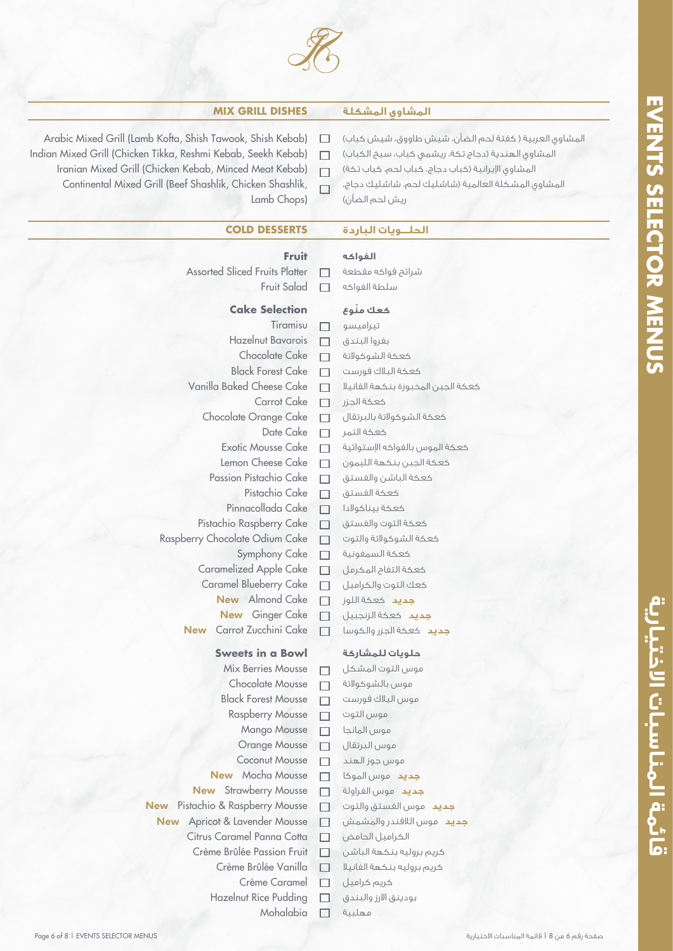

## **MIX GRILL DISHES المشكلة المشاوي**

 $\Box$ 

- Arabic Mixed Grill (Lamb Kofta, Shish Tawook, Shish Kebab)  $\Box$
- Indian Mixed Grill (Chicken Tikka, Reshmi Kebab, Seekh Kebab)
- Iranian Mixed Grill (Chicken Kebab, Minced Meat Kebab)  $\Box$ 
	- Continental Mixed Grill (Beef Shashlik, Chicken Shashlik,  $\Box$ Lamb Chops)
- المشاوي العربية ( كفتة لحم الضأن، شيش طاووق، شيش كباب) المشاوي الهندية (دجاج تكة، ريشمي كباب، سيخ الكباب) المشاوي ايرانية (كباب دجاج، كباب لحم، كباب تكة) المشاوي المشكلة العالمية (شاشليك لحم، شاشليك دجاج، ريش لحم الضأن)

## **الحلـــويات الباردة DESSERTS COLD**

## **الفواكه**

- Assorted Sliced Fruits Platter
	- Fruit Salad  $\Box$

**Fruit**

## **Cake Selection**

| Tiramisu                                          |                                               |  |  |  |
|---------------------------------------------------|-----------------------------------------------|--|--|--|
| <b>Hazelnut Bavarois</b>                          |                                               |  |  |  |
| <b>Chocolate Cake</b><br><b>Black Forest Cake</b> |                                               |  |  |  |
|                                                   |                                               |  |  |  |
| <b>Carrot Cake</b>                                | $\Box$<br>$\Box$                              |  |  |  |
| Chocolate Orange Cake                             |                                               |  |  |  |
| Date Cake                                         |                                               |  |  |  |
| <b>Exotic Mousse Cake</b>                         | 000                                           |  |  |  |
| Lemon Cheese Cake                                 | $\Box$                                        |  |  |  |
| Passion Pistachio Cake                            | 000                                           |  |  |  |
| Pistachio Cake                                    |                                               |  |  |  |
| Pinnacollada Cake                                 |                                               |  |  |  |
| Pistachio Raspberry Cake                          | $\Box$                                        |  |  |  |
| Raspberry Chocolate Odium Cake                    | $\begin{array}{c}\n\Box \\ \Box\n\end{array}$ |  |  |  |
| Symphony Cake                                     |                                               |  |  |  |
| Caramelized Apple Cake                            | $\Box$                                        |  |  |  |
| Caramel Blueberry Cake                            | $\Box$                                        |  |  |  |
| New Almond Cake                                   | 000                                           |  |  |  |
| New Ginger Cake                                   |                                               |  |  |  |
| Carrot Zucchini Cake<br><b>New</b>                |                                               |  |  |  |
| <b>Sweets in a Bowl</b>                           |                                               |  |  |  |
| <b>Mix Berries Mousse</b>                         | $\Box$                                        |  |  |  |
| <b>Chocolate Mousse</b>                           | $\Box$                                        |  |  |  |
| <b>Black Forest Mousse</b>                        | $\Box$                                        |  |  |  |
| <b>Raspberry Mousse</b>                           | $\begin{array}{c}\n\Box \\ \Box\n\end{array}$ |  |  |  |
| <b>Mango Mousse</b>                               |                                               |  |  |  |
| <b>Orange Mousse</b>                              | $\Box$                                        |  |  |  |
| <b>Coconut Mousse</b>                             | $\Box$                                        |  |  |  |
| <b>New</b> Mocha Mousse                           |                                               |  |  |  |
| <b>New</b> Strawberry Mousse                      | 000                                           |  |  |  |
| <b>New</b> Pistachio & Raspberry Mousse           |                                               |  |  |  |
| New Apricot & Lavender Mousse                     | $\Box$                                        |  |  |  |
| Citrus Caramel Panna Cotta                        | ┓                                             |  |  |  |
| Crème Brûlée Passion Fruit                        |                                               |  |  |  |
| Crème Brûlée Vanilla                              |                                               |  |  |  |
| Crème Caramel                                     |                                               |  |  |  |
| <b>Hazelnut Rice Pudding</b>                      |                                               |  |  |  |
| Mohalabia                                         |                                               |  |  |  |

# **ّ كعك منوع**

شرائح فواكه مقطعة سلطة الفواكه

تيراميسو بفروا البندق كعكة الشوكولاتة كعكة البلاك فورست كعكة الجبن المخبوزة بنكهة الفانيلا كعكة الجزر كعكة الشوكولاتة بالبرتقال كعكة التمر كعكة الموس بالفواكه استوائية كعكة الجبن بنكهة الليمون كعكة الباشن والفستق كعكة الفستق كعكة بيناكولادا كعكة التوت والفستق كعكة الشوكولاتة والتوت كعكة السمفونية كعكة التفاح المكرمل كعك التوت والكراميل **جديد** كعكة اللوز **جديد** كعكة الزنجبيل **جديد** كعكة الجزر والكوسا

## **حلويات للمشاركة**

موس التوت المشكل موس بالشوكولاتة موس البلاك فورست موس التوت موس المانجا موس البرتقال موس جوز الهند **جديد** موس الموكا **جديد** موس الفراولة **جديد** موس الفستق والتوت **جديد** موس اللافندر والمشمش الكراميل الحامض كريم بروليه بنكهة الباشن كريم بروليه بنكهة الفانيلا كريم كراميل بودينق الارز والبندق مهلبية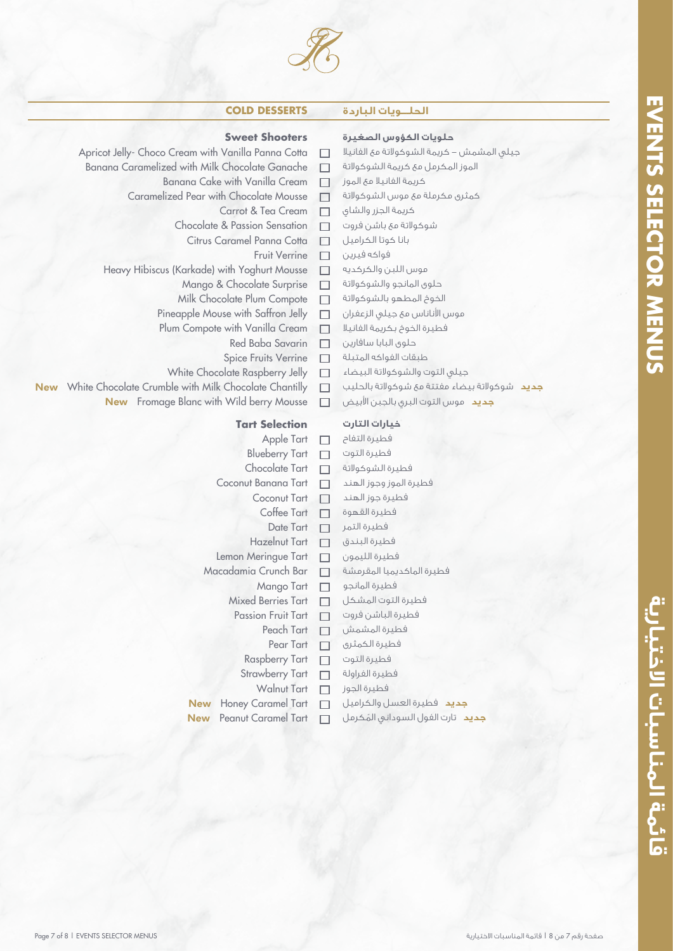

 $\Box$ 

 $\Box$ 

 $\Box$  $\Box$  $\Box$ 

 $\Box$ 

## **الحلـــويات الباردة DESSERTS COLD**

## **Sweet Shooters**

- Apricot Jelly- Choco Cream with Vanilla Panna Cotta
	- Banana Caramelized with Milk Chocolate Ganache
		- Banana Cake with Vanilla Cream  $\Box$
		- Caramelized Pear with Chocolate Mousse  $\Box$ 
			- Carrot & Tea Cream
			- Chocolate & Passion Sensation  $\Box$ 
				- Citrus Caramel Panna Cotta  $\Box$ 
					- Fruit Verrine  $\Box$
		- Heavy Hibiscus (Karkade) with Yoghurt Mousse  $\Box$ 
			- Mango & Chocolate Surprise  $\Box$
			- Milk Chocolate Plum Compote  $\Box$
			- Pineapple Mouse with Saffron Jelly  $\Box$
			- Plum Compote with Vanilla Cream  $\Box$ 
				- Red Baba Savarin  $\Box$
				- Spice Fruits Verrine  $\Box$
- White Chocolate Raspberry Jelly
- New White Chocolate Crumble with Milk Chocolate Chantilly
	- New Fromage Blanc with Wild berry Mousse

## **Tart Selection**

- Apple Tart  $\Box$ Blueberry Tart  $\Box$ Chocolate Tart Coconut Banana Tart  $\Box$ Coconut Tart  $\Box$ Coffee Tart  $\Box$ Date Tart  $\Box$ Hazelnut Tart  $\Box$ Lemon Meringue Tart  $\Box$ Macadamia Crunch Bar  $\Box$ Mango Tart  $\Box$ Mixed Berries Tart  $\Box$ Passion Fruit Tart  $\Box$ Peach Tart  $\Box$ Pear Tart  $\Box$ Raspberry Tart  $\Box$ Strawberry Tart  $\Box$ Walnut Tart  $\Box$ New Honey Caramel Tart  $\Box$
- New Peanut Caramel Tart

## **حلويات الكؤوس الصغيرة**

جيلي المشمش - كريمة الشوكولاتة مع الفانيلا الموز المكرمل مع كريمة الشوكولاتة

- كريمة الفانيلا مع الموز
- كمثرى مكرملة مع موس الشوكولاتة
- كريمة الجزر والشاي
- شوكولاتة مع باشن فروت

بانا كوتا الكراميل

- فواكه فيرين
	- موس اللبن والكركديه
	- حلوى المانجو والشوكولاتة
	- الخوخ المطهو بالشوكولاتة
	- موس الاناناس مع جيلي الزعفران

فطيرة الخوخ بكريمة الفانيلا

- حلوى البابا سافارين
- طبقات الفواكه المتبلة
- جيلي التوت والشوكولاتة البيضاء
- **جديد** شوكولاتة بيضاء مفتتة مع شوكولاتة بالحليب
- **جديد** موس التوت البري بالجبن الابيض

## **خيارات التارت**

فطيرة التفاح فطيرة التوت فطيرة الشوكولاتة فطيرة الموز وجوز الهند فطيرة جوز الهند فطيرة القهوة فطيرة التمر فطيرة البندق فطيرة الليمون فطيرة الماكديميا المقرمشة فطيرة المانجو فطيرة التوت المشكل فطيرة الباشن فروت فطيرة المشمش فطيرة الكمثرى فطيرة التوت فطيرة الفراولة فطيرة الجوز **جديد** فطيرة العسل والكراميل **جديد** ُ تارت الفول السوداني المكرمل

# قائهة المناسبات الاختيارية